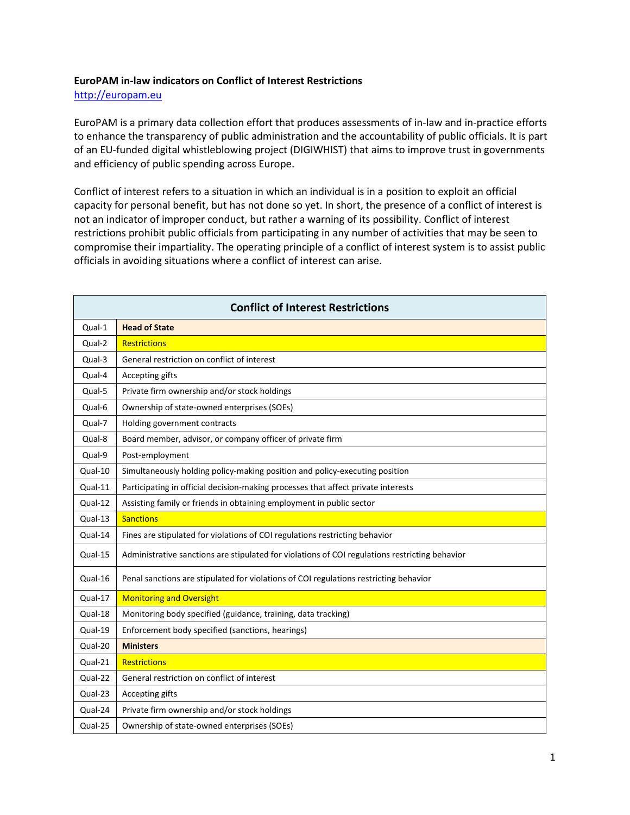## **EuroPAM in-law indicators on Conflict of Interest Restrictions**

[http://europam.eu](http://europam.eu/)

EuroPAM is a primary data collection effort that produces assessments of in-law and in-practice efforts to enhance the transparency of public administration and the accountability of public officials. It is part of an EU-funded digital whistleblowing project (DIGIWHIST) that aims to improve trust in governments and efficiency of public spending across Europe.

Conflict of interest refers to a situation in which an individual is in a position to exploit an official capacity for personal benefit, but has not done so yet. In short, the presence of a conflict of interest is not an indicator of improper conduct, but rather a warning of its possibility. Conflict of interest restrictions prohibit public officials from participating in any number of activities that may be seen to compromise their impartiality. The operating principle of a conflict of interest system is to assist public officials in avoiding situations where a conflict of interest can arise.

| <b>Conflict of Interest Restrictions</b> |                                                                                                |  |
|------------------------------------------|------------------------------------------------------------------------------------------------|--|
| Qual-1                                   | <b>Head of State</b>                                                                           |  |
| Qual-2                                   | <b>Restrictions</b>                                                                            |  |
| Qual-3                                   | General restriction on conflict of interest                                                    |  |
| Qual-4                                   | Accepting gifts                                                                                |  |
| Qual-5                                   | Private firm ownership and/or stock holdings                                                   |  |
| Qual-6                                   | Ownership of state-owned enterprises (SOEs)                                                    |  |
| Qual-7                                   | Holding government contracts                                                                   |  |
| Qual-8                                   | Board member, advisor, or company officer of private firm                                      |  |
| Qual-9                                   | Post-employment                                                                                |  |
| Qual-10                                  | Simultaneously holding policy-making position and policy-executing position                    |  |
| Qual-11                                  | Participating in official decision-making processes that affect private interests              |  |
| Qual-12                                  | Assisting family or friends in obtaining employment in public sector                           |  |
| Qual-13                                  | <b>Sanctions</b>                                                                               |  |
| Qual-14                                  | Fines are stipulated for violations of COI regulations restricting behavior                    |  |
| Qual-15                                  | Administrative sanctions are stipulated for violations of COI regulations restricting behavior |  |
| Qual-16                                  | Penal sanctions are stipulated for violations of COI regulations restricting behavior          |  |
| Qual-17                                  | <b>Monitoring and Oversight</b>                                                                |  |
| Qual-18                                  | Monitoring body specified (guidance, training, data tracking)                                  |  |
| Qual-19                                  | Enforcement body specified (sanctions, hearings)                                               |  |
| Qual-20                                  | <b>Ministers</b>                                                                               |  |
| Qual-21                                  | <b>Restrictions</b>                                                                            |  |
| Qual-22                                  | General restriction on conflict of interest                                                    |  |
| Qual-23                                  | Accepting gifts                                                                                |  |
| Qual-24                                  | Private firm ownership and/or stock holdings                                                   |  |
| Qual-25                                  | Ownership of state-owned enterprises (SOEs)                                                    |  |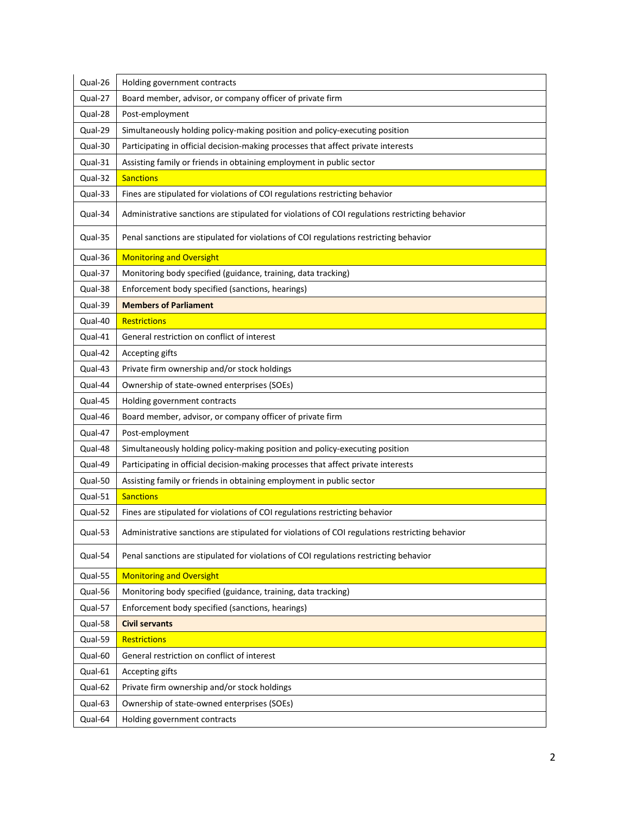| Qual-26 | Holding government contracts                                                                   |
|---------|------------------------------------------------------------------------------------------------|
| Qual-27 | Board member, advisor, or company officer of private firm                                      |
| Qual-28 | Post-employment                                                                                |
| Qual-29 | Simultaneously holding policy-making position and policy-executing position                    |
| Qual-30 | Participating in official decision-making processes that affect private interests              |
| Qual-31 | Assisting family or friends in obtaining employment in public sector                           |
| Qual-32 | <b>Sanctions</b>                                                                               |
| Qual-33 | Fines are stipulated for violations of COI regulations restricting behavior                    |
| Qual-34 | Administrative sanctions are stipulated for violations of COI regulations restricting behavior |
| Qual-35 | Penal sanctions are stipulated for violations of COI regulations restricting behavior          |
| Qual-36 | <b>Monitoring and Oversight</b>                                                                |
| Qual-37 | Monitoring body specified (guidance, training, data tracking)                                  |
| Qual-38 | Enforcement body specified (sanctions, hearings)                                               |
| Qual-39 | <b>Members of Parliament</b>                                                                   |
| Qual-40 | <b>Restrictions</b>                                                                            |
| Qual-41 | General restriction on conflict of interest                                                    |
| Qual-42 | Accepting gifts                                                                                |
| Qual-43 | Private firm ownership and/or stock holdings                                                   |
| Qual-44 | Ownership of state-owned enterprises (SOEs)                                                    |
| Qual-45 | Holding government contracts                                                                   |
| Qual-46 | Board member, advisor, or company officer of private firm                                      |
| Qual-47 | Post-employment                                                                                |
| Qual-48 | Simultaneously holding policy-making position and policy-executing position                    |
| Qual-49 | Participating in official decision-making processes that affect private interests              |
| Qual-50 | Assisting family or friends in obtaining employment in public sector                           |
| Qual-51 | <b>Sanctions</b>                                                                               |
| Qual-52 | Fines are stipulated for violations of COI regulations restricting behavior                    |
| Qual-53 | Administrative sanctions are stipulated for violations of COI regulations restricting behavior |
| Qual-54 | Penal sanctions are stipulated for violations of COI regulations restricting behavior          |
| Qual-55 | <b>Monitoring and Oversight</b>                                                                |
| Qual-56 | Monitoring body specified (guidance, training, data tracking)                                  |
| Qual-57 | Enforcement body specified (sanctions, hearings)                                               |
| Qual-58 | <b>Civil servants</b>                                                                          |
| Qual-59 | <b>Restrictions</b>                                                                            |
| Qual-60 | General restriction on conflict of interest                                                    |
| Qual-61 | Accepting gifts                                                                                |
| Qual-62 | Private firm ownership and/or stock holdings                                                   |
| Qual-63 | Ownership of state-owned enterprises (SOEs)                                                    |
| Qual-64 | Holding government contracts                                                                   |